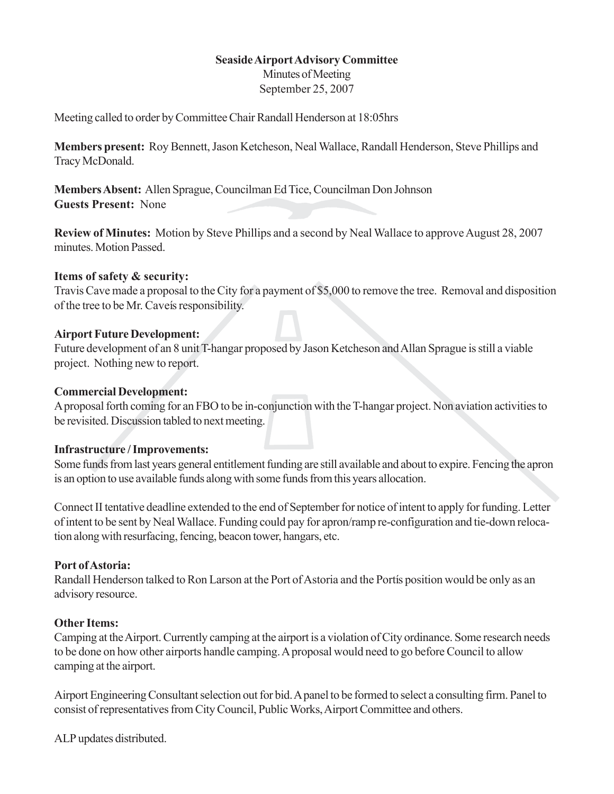## **SeasideAirportAdvisory Committee**

Minutes of Meeting September 25, 2007

Meeting called to order by Committee Chair Randall Henderson at 18:05hrs

**Members present:** Roy Bennett, Jason Ketcheson, Neal Wallace, Randall Henderson, Steve Phillips and TracyMcDonald.

**Members Absent:** Allen Sprague, Councilman Ed Tice, Councilman Don Johnson **Guests Present:** None

**Review of Minutes:** Motion by Steve Phillips and a second by Neal Wallace to approve August 28, 2007 minutes.Motion Passed.

## **Items of safety & security:**

TravisCave made a proposal to theCity for a payment of \$5,000 to remove the tree. Removal and disposition of the tree to be Mr. Cave is responsibility.

## **Airport Future Development:**

Future development of an 8 unit T-hangar proposed by Jason Ketcheson and Allan Sprague is still a viable project. Nothing new to report.

## **Commercial Development:**

A proposal forth coming for an FBO to be in-conjunction with the T-hangar project. Non aviation activities to be revisited. Discussion tabled to next meeting.

#### **Infrastructure /Improvements:**

Some funds from last years general entitlement funding are still available and about to expire. Fencing the apron is an option to use available funds along with some funds from this years allocation.

Connect II tentative deadline extended to the end of September for notice of intent to apply for funding. Letter ofintent to be sent by NealWallace. Funding could pay for apron/ramp re-configuration and tie-down relocation along with resurfacing, fencing, beacon tower, hangars, etc.

# **Port ofAstoria:**

Randall Henderson talked to Ron Larson at the Port of Astoria and the Portis position would be only as an advisory resource.

#### **Other Items:**

Camping at the Airport. Currently camping at the airport is a violation of City ordinance. Some research needs to be done on how other airports handle camping. A proposal would need to go before Council to allow camping at the airport.

Airport Engineering Consultant selection out for bid. A panel to be formed to select a consulting firm. Panel to consist of representatives from City Council, Public Works, Airport Committee and others.

ALP updates distributed.